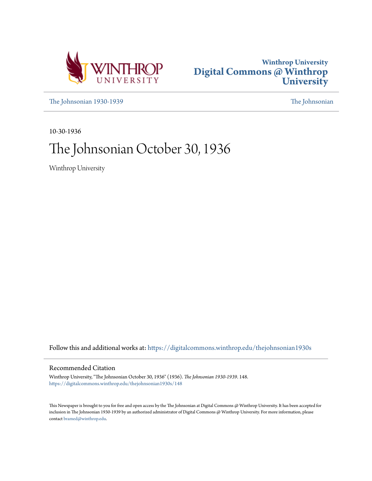



[The Johnsonian 1930-1939](https://digitalcommons.winthrop.edu/thejohnsonian1930s?utm_source=digitalcommons.winthrop.edu%2Fthejohnsonian1930s%2F148&utm_medium=PDF&utm_campaign=PDFCoverPages) [The Johnsonian](https://digitalcommons.winthrop.edu/thejohnsonian_newspaper?utm_source=digitalcommons.winthrop.edu%2Fthejohnsonian1930s%2F148&utm_medium=PDF&utm_campaign=PDFCoverPages)

10-30-1936

## The Johnsonian October 30, 1936

Winthrop University

Follow this and additional works at: [https://digitalcommons.winthrop.edu/thejohnsonian1930s](https://digitalcommons.winthrop.edu/thejohnsonian1930s?utm_source=digitalcommons.winthrop.edu%2Fthejohnsonian1930s%2F148&utm_medium=PDF&utm_campaign=PDFCoverPages)

### Recommended Citation

Winthrop University, "The Johnsonian October 30, 1936" (1936). *The Johnsonian 1930-1939*. 148. [https://digitalcommons.winthrop.edu/thejohnsonian1930s/148](https://digitalcommons.winthrop.edu/thejohnsonian1930s/148?utm_source=digitalcommons.winthrop.edu%2Fthejohnsonian1930s%2F148&utm_medium=PDF&utm_campaign=PDFCoverPages)

This Newspaper is brought to you for free and open access by the The Johnsonian at Digital Commons @ Winthrop University. It has been accepted for inclusion in The Johnsonian 1930-1939 by an authorized administrator of Digital Commons @ Winthrop University. For more information, please contact [bramed@winthrop.edu](mailto:bramed@winthrop.edu).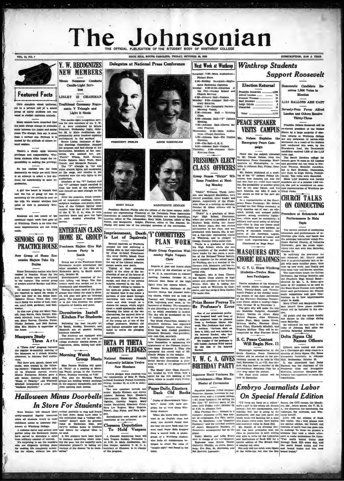### The nsonian HE OFFICIAL PUBLICATION OF THE STUDENT BODY OF WINTHROP COLLEGE ROCK HILL SOUTH CAROLINA, FRIDAY, OCTOBER 38, 169

**Featured Facts** 

**VOL. 14, NO. 7** 

Oirle complain about uniform varia compasin acous uniforms<br>yet in a private poll of a mixed proup of thirty students not one<br>voted to abolish uniforms entirely.

Many seniors have rer arked the the most abrupt change in attitudes<br>occur between the junior and senior<br>years. The change, they say, is more than a surface one. Perhaps it is<br>caused by the attitude of others to-

There's a direct ratio between privileges and responsibility. Win-<br>throp students often forget the re-<br>sponsibility in seeking the privilege.

No one realizes how far from democratic we really are until there is an attempt to select a few stu-<br>denis for membership in some orexplantion.

A girl was heard to remark that half the fun of going off was in borrowing all the clothes to wear on half the fun of going off was in stage, we use the maximum and the fund of going all the clothes to wars on Alter the programs which contains the trip, we wonder whether that ed of responsive readings, why members the trip

Students are not aware of the stinual repair work that goes on

at Winthrop. There is no time that wements are not being some teams

### **SENIORS GO TO PRACTICE HOUSE**

New Groom of Hame Eco nomics Majors Take Up Dulles

Home Economics majors who have<br>resided in Practice House for the<br>put six weeks have now returned<br>to the campus. The second group<br>of seniors entered Sunday and Mon-

of water a tensor and state of the field<br>all state and properties are required to spend six weeks of<br>their last years in the Home Man-<br>Nagment House, Three they take years at the state of host, host-<br>tens, man.<sup>2</sup>, ecok, g

ets, main, coor, parts, coor, parts, main the Mary Don-<br>and, Jean Norris, there group are Mary Don-<br>and, Jean Norris, there Harper, Elizabeth Mitchell, Irrus. Lee Thomlin-<br>son, Mary Harvey, Caroline Puller, Gladys Jackson, by Routh. 1

### **Masquers Study**

Three Arts A "Three Arts" program featured<br>the regular bi-monthly meeting of<br>the Masquers at 5 o'clock Monday<br>afternoon, in Johnson Hall audito-

Morning Watch afternoon, in Jenuxen man were the state precise of the state and manner: Wargin manner: Wayne and manner in the state of one demands a Manner in Manner and the state of the Manner Manner of the State manner of the State o in the separate dominiories<br>joint meeting each month

for others, with

Y. W. RECOGNIZES **NEW MEMBERS** Minna Neussner Conducts Candle-Light Serv**loss** LINLEY IS CHAIRMAN

Traditional Ceremony Repre sente Y Triangle and Light it Sheds

Light it Rheds<br>
The mainless control and the state of the state in the state in the state of the set of the set of the set of the set of the set of the set of the set of the set of the set of the set of the set of the set

marched down and gave the light<br>to each student attending the<br>service. **ENTERTAIN CLASS** 

Imprisonment, Death Y' COMMITTEES **HOME EC. GROUP** Several squarest on Witchrop<br>campus are now suffering a feeling akin to the texperienced<br>by those ill-fated Prenchmen<br>who enter Devil's Jaisnal. Once a compute prime of the large of the Library column<br>the correlation comp Freshmen Majors Give Halloween Party in South

orresponding to the Prehman Home<br>
Economics major entertained the<br>
other members of the class at a<br>
tory, October 39.<br>
tory, October 39.<br>
tory, October 39.<br>
tory, October 39.<br>
The firstnament and degrad the class of for-<br>

our campus primoners as<br>eend product and the Library columns, accept measure denis as were denishing<br>plane in the strength of the denising plane in the strength of the<br>strength of the strength of the strength of the primo Dormitories Install **Kitchen For Students** Following the lead recently set

martyr



### by country, is<br>considered as a present having it considers initialled.<br>The kitchens initialled.<br>The kitchens are equipped with<br>conveniences that will be useful to<br>college atudents: electric stowes, re-**BETA PI THETA** e students: electric stoves, re-<br>ators, sinks, tables, and cabi-**ADMITS PLEDGES**

National Honorary French Group Meet **Fraternity Initiates Twelve** Miss Pannie Watkins will speak<br>on "Palth" at a meeting of Morning Watch groups in the Alumnac<br>Room, Tuesday marning, at 7:30:<br>This year the Morning Watch<br>groups are holding weekly meeting: New Members

Tweive pledges were received into<br>the membership of Beta Pl Theta<br>national honorary Preveh fracturity<br>Priday, October 23, at 4.30 in John-<br>ton Rail. es and on

From State as a wave as some<br>
The new members include one<br>
The senior: Myride Wallace; and eleven<br>
Junior: Myride Wallace; and eleven<br>
Junior: Reiston Barn, Elizabeth<br>
Abererombic, Kake Hardin, Preda<br>
Louise Raceridor, Eli **Halloween Minus Doorbells In Store For Students** 

**EVALUATION AND CONSUMER SET AND INTERFERENCE (SEE A FOREY AND TRUSH THE SET AND TRUSH AND THE SET AND THE SET AND THE SET AND THE SET AND THE SET AND THE SET AND THE SET AND THE SET AND THE SET AND THE SET AND THE SET AN** 



ANNIE ROS VB1.TDA



MARY BALLY MARGUERITE ZEIGLER

**INT PRET.PR** 

pp:

erates are the phenomenon of the content of the three cases.<br>The President Rebuten Pelps and the college of the three cases are representing Winkhrop at the College<br>Laurence, editor of The Johnsenbury at the Guidenty are A dents are Annie Rosenbi<br>alle, Laurens, editor of<br>editor of The Journal,<br>when of the convention.

> **PLAN WORK** Music Group Organizes Wednesday Night Vespers

Choir rts of past and future plar vere given by the chairmen of the

ing classes, which will be held or Tuesday and Thursday nights, at 6:30, beginning next week, in the basement of Roddey. The committee

6730, beginning next week, in the case of the size planetary best and the size of the kicken case of the kicken<br>case of the size of the size of the size of the size of the size of<br>the same of the size of the size of the si

The Maids' Sible Class Commit The massar Built Canad Committee, headed by Virle Grow, held a social for the first meeting of the class, which is taught every Friday.

### Deck Old Books

Copies of Shakespears's "Morth," dated 1638, held surprises for at least three Win-

When the books were distributed in an Fnglish clear hat week, one student found that she had the same book that her sunt used. Paper dolls dropped nunt used. Paper dolls dropped<br>from a second book. A photo-<br>graph of a Wintkrop student,<br>who from all sppearances be-<br>longed to about the class of<br>"naught eight" was found in the

### **Winthrop Students** Next Week at Winthrop day: 7:30-Main At



Total ..........

Me.

 $-22$ 

other such organizati

(Continued on Page Pour)

Twelve members of the Masquers<br>will render choric readings of the<br>Pirst, Twenty-third, and Twenty-<br>fourth Psakes at the Sunday morn-

 $\frac{1}{2}$ 

**PEACE SPEAKER** 

**VISITS CAMPUS** 

**Emergency Peace Cam** 

palgu

Nelson Explains the

- ouary Societies.<br>estay: 7:30-Dormitory Parlors-<br>Morning Watch.<br>1:30-Johnson Hall -- Knitting
- - Morning Watch.<br>
	2:30—Johnson Hall<br>
	Class.<br>
	3:00—Johnson Hall-<br>
	Meeting.<br>
	7:30—Johnson Hall-
	- on Hall\_Ch rai Se 7:30-Johnson Hall-Cheval So<br>clety Practice.<br>Fednesday: 12:30-Main Audito<br>rium-Chapel Exerclaes.
	- 4:00-Johnson Hall-Phi Unsile

4:30-Clio Hall-I, R. C.<br>4:30-Clio Hall-I, R. C. 4:30-Johnson Hall-Vesp<br>hursday: 3:30-Johnson<br>Knitting Class.

### **FRESHMEN ELECT CLASS OFFICERS**

up Names "Dickle" Wil-Gн Hams President at Meeting Monday

"Dickie" Williams. Theda John-<br>son, and Margaret MacMillan, were<br>clected president, cheer leader, and<br>pianist, respectively of the Freshman Class at a meeting on Monday.<br>October 26. Other officers will be

October 20. Other and the control of the control of the line of the line of the line of the line of the served as periodic of the served as periodic of the standard of the standard difference and Section and Section of the graduated with honorm, silk is taken and in the line of the Whitkong, and is predicted to one of the Whitkong and the predicted consideration of the state of column big a graduate of column big the state of the state of t cently pledged Sigma Kappa Sigm

were given by the chairmen of the gordini photograd Sigman Koppa Sigman<br>meeting. The south chained: Taking the figure of the internal Timers,<br>meeting. Tunciday, October 77, Inj sea Senior Class planks in high<br>of the curre

### Prize Boner Proves To Be Professor's Error

Franc, Teruty and the Burdet unit average of the Burdet convention<br>of the Warder of the Sunday morn-<br>of the Worsen's Christian Termper-<br>axes Union, which is media in Sunday and the Worsen's Oriotic more<br>plats to be Novembe One of our premius<br>and hope at a simple and compared between a freedom and compared bonds<br>and the space of the space of the space of the space of week. The freedom<br>an indicate the space of the space of the space of the sp

tertainment-Miss Mims Master of Coremonies

Japanese lanterns, yellow o

**Support Roosevelt Election Returns!** Democratic Candidate Receives 1,006 Votes in  $\begin{array}{c} 10 \\ 10 \end{array}$ 

 $\begin{array}{c} 3 \\ 10 \end{array}$ 

 $7.113$ 

**LU3 BALLOTS ARE CAST** 

SUBSCRIPTION, SLOD A TRAIN

Seventy-Four Favor Alfred Landon and Others Receive **Thirty-Three** 

nklin Delano R related preddent of the United<br>States by a large majority if election returns at Winthrop College<br>ton returns at Winthrop College<br>are any indication of nation-wide<br>sentiment As a result of the student<br>poll canducted this w Strawberry Leaf, the Democratic candidate received 1,006 of the 1,113

Peace was the subject discussed<br>by Mr. Claude Nelson, from the<br>Emergency Peace Campaign Head-quarters at Philadelphia, in two<br>talks in Johnson Halt, Priday, Octocandidate received 1,006 of the 1,113<br>where callege for women gave in the field of the field of the model of<br>any stress of MI Landson and parcelled out ion votes to Neumann Thomas, Book<br>alle received out ion votes to Neum ber 22. estatem explained at a method on the figure of the state of the state of the state of the state of the state of the state of the state of the state of the state of the state of the state of the state of the state members out of a poss this 1 con wat

esentation of Winth

### **CHURCH TALKS** ON CONDUCTING

### Procedure at Rehearsals and Performances Is Main

Tople

pointed out free that<br>as recentrary to be a local contribution of the contribution of the<br>contribution of the contribution of the optimizary is contributed to<br>point and a structure of the contribution of the minimizary an The correct method of cont The correct method of conducting<br>relationships of the relationships of the principal instruction which<br>the principal instruction which Property (Fasor Rervall Church, of Columbia<br>Jessor Rervall Church, of Columbia<br>Universi **MASQUERS GIVE** 

the State Music Contest next suring titer each performance. Mr. Ch made sugge tions and gave mus trations as to how imp

entiable made.<br>
Mary O'Dell and Marguerite San-<br>ders played three plano numbers<br>which will be included in the con-

test.<br>All guests and the music faculty<br>had dinner in the college dining<br>room Saturday.

room Saturday.<br>An Informal tea was held in the<br>lobby of Johnson Hall after the<br>uneting Saturday afternoon.

### Delta Sigma Chi Names Officers

S. C. Peace Contest<br>Will Begin Nov. 11 Officers were named and plane

Embryo Journalists Labor

Japanese lanteras, yellow chryson-<br>
Lanteras, yellow chryson-<br>
themum, increase in Japanese lanteras, and a Japanese lable<br>
any comparison to the stress observed the setting for  $\Omega$  in Equation (i.e., the corol campa, th

# Paper Dolls, Etcetera throp students.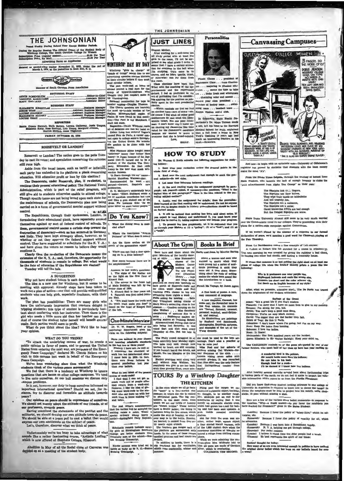

is the Regular Session The Official Organ of the Student Body<br>Winkings College, The Houth Carolina College for Women 11.00 Per Year Withurvy<br>hydion Price (regular session)...........<br>Advertising Rates on App

red as accord-class matter Novamber 31, 1923, under the Act of March 3, 1979, at the pertodice in Rock Hill, S. C.

Grammer (Control Member)

Member of South Carolina Press /

EDITORIAL STAFF **NIE ROSENBLUM<br>KURIA NEESTARN**<br>MY OAL: 111 clate Si

| _______ |                                                             |  |
|---------|-------------------------------------------------------------|--|
|         | <b>BUSINESS STAFF</b><br>ELIZABETH KERHULAS Business Manage |  |
|         |                                                             |  |
|         |                                                             |  |
|         |                                                             |  |
|         |                                                             |  |
|         | <b>WEIGHTERS</b>                                            |  |

|  |  | FRIDAY, OCTOBER 30, 1936 |  |
|--|--|--------------------------|--|
|  |  |                          |  |
|  |  |                          |  |

### ROOSEVELT OR LANDON?

Roosevelt or Landon? The nation goes to the polls Tues day to cast its votes; and speculation concerning the outcor still runs high.

Aside from the usual issues, such as tariff or inflation sch party has embodied in its platform a plank concern on. Will education profit or lose by this election?

The Democrats, under Roosevelt, plan, if re-elected, to<br>ntinue their present educational policy. The National Youth ministration, which is part of the relief program, will Ad atili give aid to students otherwise unable to attend college. Though specific taxes are not being levied upon each state for the maintenance of schools, the Democratic plan now being carried on is a form of governmental mental support without control

ntrol. We all the Republicans, through their spokesman, Landon, in mulating their educational plank, have repeatedly avowed themselves against ny sort of federal control of schools. To ental control seems a certain step toward the th m. sovern them, governmental control seems a crucial and commany conduction of democracy—such as has occurred in Germany and Italy. They have kept strangely ellent, however, as to whether or not they approve the federal support with me if

Clearly then the re-election of the Democrats m Using y usen the re-election of the Democrate means the cleanion of the N, Y, A,; and, therefore, the opportunity for cousands of students to remain in college. But what would the fate of clucuation if the Republicans are m ta

### A SUGGESTION

Why not have student tutors in each dormitory?

The idea is a new one for Winthrop, but it seems to be<br>meeting with approval. Already steps have been taken to<br>meeting with approval. Already steps have been taken to<br>work out a plan of action-one that will provide well-qu

e pb an has possibilities: There are many girls wh the peak mas pues<br>unitary and impression that teachers delight in tripping students; this type of student is particularly hesitant about conferring with her instructor. Then there is the studient galaxies of the order of t

saly. Both parties would seem to profit.<br>What do you think about the idea? We'd like to hear your cpinion

### WHAT DO YOU THINK?

What TO QUI THINK?<br>To attack the underlying causes of war, to create a<br>public opinion in favor of peace, and to prevent the United<br>States from entering the next war, are purposes of the Emer-<br>gangy Peace Campuign," declare Peace Campaign.

Peace Campaign.<br>We've been weadering since then what the Winthrop windents think of the various peace movements?<br>We feel that there is a tendency at Winthrop to ignore quentions that are leause on other college campuse. We

Is it not, however, our duty to keep ourcelves informed on important international questions? Should we not, for in-

ace?<br>Cur opinions on peace ahould be expressions of ourselves.<br>e should not merely adopt the attitude of our friends, or of<br>ur professors, towards peace.<br>Eaving examined the statements of the pacifist and the  $W_0$  at

militarist, we should develop our own attitude towards peace.<br>We should be able at a peace poll to cast a ballot that would<br>express our own attitude towards peace.<br>We should be able at a peace poll to cast a ballot that wo

Unfortunately we're too bury to take advantage of what sounds like a rather fascinating course, "Artistic Loafing," which is now offered at Stephens College, Missouri.

Abolition in May of all the Social clubs at Converse was



**WINTHROP DAY BY DAY** Winthrop "girls in charge" or<br>'heads of things" would like to see

es encle advertising agencies enclose blotters<br>in their circular letters if they must т.

 $\theta$ 

Dealers 22 more for

all not want. Bagatelles-Dickle Williums rends<br>all of Sabatini air can lay hand to.<br>Either Long has entered Vogue's<br>record Prix de Paris, a career con-<br>ter open to college seniors through-<br>cut the United States. No wonder<br>abe prefers to

ີ

is.<br>Islam Forence Minus bought some<br>Iclous" heney ther father likes<br>ey) in Japan because of its Jap-<br>se tink--It turned out to be a et of the Garden Tea Cor pany, Mily

y, Milwaukee. So that Add<br>ey to the beer that made Mu

ukee famous.<br>"It floats through the air" name<br>arriet Hamilton Wannan.aker.<br>Recommended for week - ei

publication.<br>
O. O. MeIntyre's understudy better<br>
to quote: "Elbert Hubbard wrote a<br>
lot of mawhish tweedledee but now<br>
and then a gens abited out of the<br>
dress. For instance this: "As we<br>
grow better we meet better peopl

| Do You Know?                                |
|---------------------------------------------|
| What the dining room is mod-<br>eled after? |
| Where the inscription                       |

Are the three arches on<br>orch of the gymnasium equal

Where you can find a d<br>ing on to a little balco 5. How many terraces there<br>the amphitheater?

Seen here and there about the incut<br>formula and the factory discussion of the factory cancel and the set of<br>the state of the factory of the set of the set of the set of<br>the set of the set of the set of the set of the set o the amphilibeater?<br>
Answers to least week's questions . The signa of the Zodiac at<br>
on the light on the first floor compared in the light on the first floor<br>
Elnard Hall.<br>
2. The mirror in the front has seen to see the se all is four vears old

son Hall.<br>
8. "You shall know the truth<br>
the truth shall make you free<br>
found on the front of Kinard

**One-MinuteInterview** 

Dr. W. W. Ropers, head of the paychology department gives his

 $\label{eq:2} \begin{tabular}{l|c|c|c} \hline \textbf{1} & \textbf{1} & \textbf{1} & \textbf{1} & \textbf{1} & \textbf{1} & \textbf{1} & \textbf{1} & \textbf{1} & \textbf{1} & \textbf{1} & \textbf{1} & \textbf{1} & \textbf{1} & \textbf{1} & \textbf{1} & \textbf{1} & \textbf{1} & \textbf{1} & \textbf{1} & \textbf{1} & \textbf{1} & \textbf{1} & \textbf{1} & \textbf{1} & \textbf{1} & \textbf{1} & \textbf{1} &$ 

What is you think of the press<br>youte of week-ends?<br>I find that I can not get as<br> $\bar{x}$  find that I can not get as<br>much work out of propie siter<br>ing meet-ends of the local of giving more were.<br>I like the local field of giv

The post office's announcement<br>hat live turiles will be accepted for<br>neiling raises a point. Would a<br>pecial drivery stamp hurry a<br>urile?—Springfield Daily Republi-

Scholastic records indicate<br>ity girls at Birmingham So<br>College are better students<br>fraternity men at the school<br>ton Evening Transcript.

Shooke acreems were tried out in<br>hattle as early as 90 P. C.-Boston<br>Rosning Transactot.

**JUST LINES** Auter working for a mid-term test<br>all starty period with at least five comparison that the record start fraction<br>gradient in the record with random starts. It is also that is the<br>seema that I have a certain attrestion for Personalities

sie Clen

blotten ่ค

ting agreed method by most the procedure of the particle of the property of the property and the property of the particle particle particle particle particle particle particle particle particle particle particle particle

THE JOHNSONIAN

I governo is a complete that it is the specifical state. Hence, the specifical state of the specific state of the specific state of the specific state of the specific state of the specific state of the specific state of t

Dr. Warren G. Keith submits the following sugge<br>ug history:

1. Soon after year re

 $2.14$ nd over the xes<br>sets—do not ski

2. Let some time inter-

 $\mathbb{A}$  . At the next reading study the assignment paragraph by paragraph; ask yourself-alond, if necessary-the questions, "What is the top and to the paragraph of this paragraph ?" "How is the idea related to the preced

m monetation and the analyzement for details; then the generalization is exactly read the first reading will be understood. Do not let anyone you to despite details in bixtory; generalizations abould be hased between the d

on factors or<br>said book included that moliking has been said about notes.<br>you expect to read History and understand it, you must heave you<br>mind free to receive it; laking copious notes will keepede your progres 7. To present the idea graphically, let it be suggested that you through your likelory at (1) a "gallop"; (3) at a "trot"; and (3) a

ere about the

### About The Gym Books In Brief

Darby and Joan, by Ma

About a woman and saan who<br>wave young but a series of accident prever point a series of accident<br>denia prevented it until they<br>were old. A true story, Some-<br>thing about the style of writing the state makes the whole book

It Me Veyage, by J.

A first book of poems. A sure, casy command of language.

cary command of language.<br>A new magnitude Ceressel, has a constrained common constraints and the flower<br>horizon and a flower language are "factural, fictional, unusual, and<br>a new "factural, fictional, unusual, all and cons

complaining of accounts due to swim ... Suphomore magers observing school<br>serving schools are the control of the control of the control of the control of the vector<br>vice being is at Saturday. It was vector being inst Satur

ioni. The Philly crowd strangled in at ute must be used to the best advants once<br>their photodoxynight, vanisage, Don't miss a precise or from tales they to<br>M. though now we be unto you! I have not been assumed by bears, a

### TOURS By a Winthrop Daughter THE KITCHEN

THE KITCHEN THE STETCHEN IS a more of the state of the state of the mass are the matrix in the base of the state of the state of the state of the state of the state of the state of the state of the state of the state of t



to begin with an optimistic note-University of Okla And no ics that stude egistrar has proved<br>make the most "A's". ed by at

Prom the Drake Times Oelphia, through the courtesy of headers, who laments the lack of enough homesty to his detection and the lack of enough homesty to sty to claim the

The Signiphs lick th... imgers,<br>The Signiphs use their knives, They wige their hands on table<br>bibliothers are the standard to table<br>bibliothers are a summer, The Signiphs are a summer,<br>The Signiphs are a summer constraint

Notre Dame University Alumni still seem to be very my

er the Communistic trend in our colleges. They're proceeding with their ns for a nation-wide campaign against Commun

If we weren't piqued by the absence of a res on to our for m of peace, we'd m tion a road word for Clement's visying at

### From the Bavidsonian comes a fine example of Lab courses A visident at Hobart this fall enrolled for a course in cri-

The next morning ha was arrested for giving the registrar a bad check, to catching two other bad checks, and looting a fraternity house.

It seems that someone is at last getting the right slant on<br>thase of college life when the DAILY HLINI prints a po

Why is it professors can wear purple ties,<br>Haphazard halrents and coals the wrong size.<br>Trousers too shart and the color scheme vile.<br> $\gamma$  of flunk me in English because of my style?

After, what we presume, extensive study, The De Paula has truth the originators of our modern wittle<br>lsma:

Elebe of Twoy: 50 this is "Paris.<br>Columbus: I death know where I'm going, but I'm an my way. Nero: Easy the houn fires burning.<br>Schemen: I love the inferse burning.<br>Reads: It Janati<br>Reads: It Janati<br>Mechanian: The first h

A wouderful bird in the pelican,<br>His meeth holds mere than his belies<br>He can take in bank<br>Enough feed for a week-<br>FR be darned if  $1$  know hew the h

Did you know that every student seeking entrance to any University in Argentina is required to know how to dance the China the neophyte must be able to project into his mouth, usuble, sticks. 10 pear without musting a zbot

After hearing sweral remarks around here about forthcoming trip<br>arious parts of the earth, we do not feel it amiss to impart the valu<br>information which comes to us from the Florida Flambeau:

Here are a few of the various straw ballot comments--in response to question, "Why--a frank answer--do you favor the candidate you enable for President?" given in the Bates Student:

(Lendon) Because 3 invertice policy or receptration, monetary<br>stes, etc.<br>stes, etc.<br>cRocaretti Because 3 favor .<br>the policy of equality for all, understand diversals. The<br>policy of equality apply. Ground relations of the

rs' thought for tedny:<br>many of us are even interested enough in politics to have no<br>al clever ballet which has been on our balletin, board for

ceinds us of the poem oft-quoted<br>est half of her time up here last y

# Schen: "Et's a great Havings of the Oreat.<br>Piutarch: I'm anyry that I have no more lives to paramon: I'm anyry that I have no more lives to paramon: The store lives in down.<br>Jonah: You can't keep a good man down.<br>Geopartus

The CAULDRON -

(Landon) Br

**Beniers' the**<br>Hew many

tice art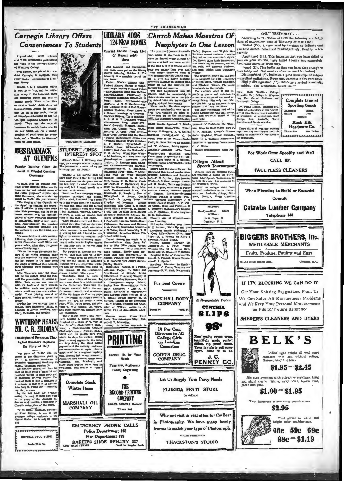### **Carnegie Library Offers Conveniences To Students**

and 11.000 government publication<br>are found in the Carnegie Librar are found in the Carnegie Library<br>of Whichirop College.<br>This library, the gift of Mr. Au-<br>This library, the gift of Mr. Au-<br>drew Carnegie, is equipped with<br>every modern convenience of a col-

tege library.

Bosides a card catalogue, which sing rotary in the basement, there are numerous charts and hists on bulletin boards. There is the "How to Pind a Book," which gives the to Pind a Book," which gives the power-heriton in greating-<br>Dewry-chelus, appear and the last of magnetine subscribed to; and the<br>of magnetines subscribed to; and the ten heat magnetines articles of<br>models. There are also the new books, one for a general selection of good hooks for a general selection of good hooks for everyty, and a "Reading for Plea<br>no for light fiction.

### **MISS HAMMACK AT OLYMPICS**

ity Member Gives Ac int of Colorful Opening

keve story in terms over the papers.<br>In the last place, Dr. Entenance In the last place, the story of Ruth and Bos<br>is the story of Ruth and Bos<br>deemar sud contains a prophery of<br>Christ's redemption of the world. n.<br>F

hnat's redemption on the Bridgen.<br>
Dr. H. Carter Davidson, president<br>
f Knox College, is one of the<br>
remease college presidents in the<br>
rangest offege presidents in the<br>
ranged Bakes; he is only 31 years

CENTRAL DRUG STIRE ade With Un **Room** 

**RAST M** 



WINTEROP'S LIBRARY **STUDENT /INDS** 

**INTEREST SPOT** (Editor's Note: A Winthrop stu- E<sup>ME</sup> Adultum; IT IRATO Fiest Presence (Editor's Note: A Winthrop stu- E<sup>122</sup> Trail Completion I. Sample: Barrence (Editor) Completion Intervents and the Jehnson and record of an in-<br>creatin dent, o



**Police Department 108** 

**Fire Department 379** 

BAKER'S SHOE RENJRY 227

**Corrent Fietion Heads Liv** "Put your head down on the south- Butord Pegram, and Virginia Mc-<br>est corner of the violin as if it Kelthen; second vasinists (because Of Recent Additions One hundred and two

e hundred and twenty-four<br>books were put on the library<br>res Saturday, October 3. The<br>wing is a complete list of the  $r\overline{r}$  bo ew books:<br>Fricken: Murder Without Risk-Ferbert Adame; Murder in Tripli<br>tele---Rugh Austin; Mutder in Tripli<br>--Enid Bagnold; Oray Man Walk-<br>tenyBellamann; Fickown---J, L<br>cuck; Haini, Overboard—Leali<br>uck; Haini, Overboard—Le  $\frac{1}{2}$ Buck: R Detection A. B. Contemporary Communication (Contemporary A. B. C. Marcheller<br>Against Contemporary Communication (Contemporary Communication (Contemporary Communication Contemporary Communication (Contemporary Communication eria: A. R. C. Mo

**LIBRARY ADDS** 

**124 NEW BOOKS** 

Hichens; South Riding-W.<br>Holtby; Dust Over the Ruin<br>H. R. Jordan; Wind Blew<br>E. M. Laulvam; If I Have Pe ins-Mr d Blew West  $x \wedge b$ Pee E G

**Faculty Member Gives Ac.** The Jehansalan a record of an inc. Conneration-Rision Marghami (count of Colorful Opening the Jehansalan a record of an inc. Conneration-well, an anomore of the Colorful Opening Here-12 and the Commopolitans-W. S. Mangham;<br>Whispering River-Helen T. Miller;<br>Gone With the Wind-Margaret

When M. B. Bennett; Wale-<br>
M. B. Bennett; Wale Up and Live<br>
F. N. -Doretheat Brande; Philosophy of<br>
Vez- a Good Life-Charles Gere; Stop<br>
Light-W. L. Potest; Re Kind to

A. F. Rohlery, Var. Actor Horse, Maria (1972), and Sigmanicus (1973), and Sigmanicus (1974), and Sigmanicus (1974), and Sigmanicus (1974), and Sigmanicus (1974), and Sigmanicus (1974), and Sigmanicus (1974), and Sigmanicu

ian.<br>Dra ma: Eth<br>Readman

Pr.1 your head down on the seattle Particle Particle (Figure and Virginia Mc-2019) were the characteristic of your air- the Netting and conductive's right), were the characted defect of your air- the Bruce and Mc-2018 (He

Neophytes In One Lesson

THE JOHNSONIAN

Pontius-John Mascfield:

neyer.<br>ya and Critic

ed Po

rom These Grapes-Edna St. Vin-<br>2nt Mülley; Vigils-S. L. Sassoon;

Light-W. L. Potest; Re Kind to<br>
Yourell-V-value Tough the<br>
Yourell-V-value Tough the<br>
Thistopy-E. A. Path; Worlds<br>
Willow End -- E. Path; Willow Start<br>
Nillow Start-H. T. Statten.<br>
Nadiga, and the Start-H. T. Statten is<br>

Sociology: Edmostion in Kinder<br>garten--J. C. Poster; Teachers an<br>Teaching--P. W. Hart; No Friendi

For Seat Covers

**ROCK HILL BODY** 

**COMPANY** 

**Cosmetics** 

rs and

ms and Parodi

les-Loui

Field; St. Peter Relates an Incident Tradition in American Democracy-

-J. W. Johnson; Public Speech- C. M. Weltse. Cecil Por Wine syth.



combatter and American above Colleges from<br>
Different and American are expected to<br>
Life-P. H. Boynton, This Secondary birry Lest figure<br>
World-B. S. Day: Abluger Harvest be held Dreembark<br>
-A. L. Rupley; Adventure of Poe Colleges from aix different d the



**SLIPS** 



 $J. C$ 

**GOOD'S DRUG COMPANY** 

Let Us Supply Your Party Needs

**FLORIDA FRUIT STORE** 

On Oakland Why not visit us real often for the Best in Photography. We have many lovely frames to match your type of Photograph. **KODAK FENISHING** 

### **THACKSTON'S STUDIO**

### ONL" YESTERDAY ...

According to The Tatler of 1899 the following are defini-

sections of expressions used at Winthrop of that date:<br>"Failed (IV). A term used by teachers to indicate that<br>ou have busted, failed, and flunked entirely. Used quite freently Conditioned (III). This indicates that you have failed to

Conditioned (III). This indicates that you have a matter plase on your studies, have died, though not completely.<br>Used with alarming frequency.<br>Passed (III). This indicates that you have done chough to<br>Passed (III). This i

resourcest that the used as often as outle be desired.<br>pass fairly well. Not used as often as could be desired.<br>Distinguished (\*). Indicates a good knowledge of subject

stations. Never used except in a few rare cases.<br>- excellent recitations. Never used except in a few rare cases.<br>Highly distinguished (\*\*). Indicates a perfect knowledge<br>of aubject—fine recitations. Never used."